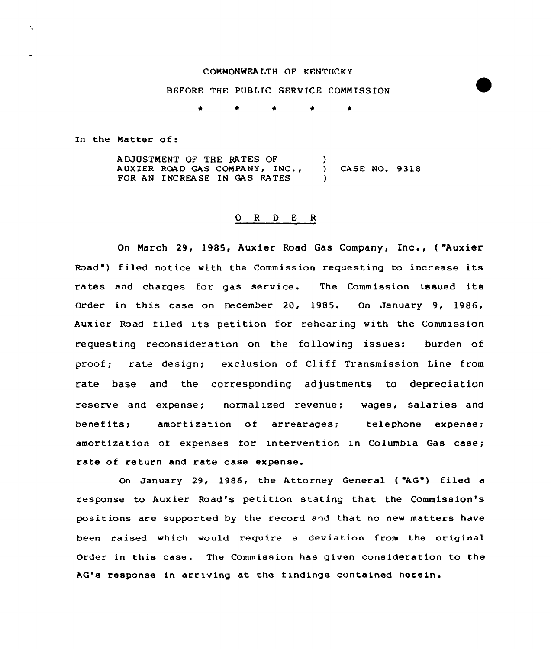#### COMMONNEALTH OF KENTUCKY

# BEFORE THE PUBLIC SERVICE COMMISSION

\* \* \* \* \*

In the Matter of:

ADJUSTMENT OF THE RATES OF AUXIER ROAD GAS COMPANY, INC., FOR AN INCREASE IN GAS RATES ) ) CASE NO. 9318 )

# 0 <sup>R</sup> <sup>D</sup> E <sup>R</sup>

On Narch 29, 1985, Auxiex Road Gas Company, Inc., ( "Auxier Road") filed notice with the Commission requesting to increase its rates and charges for gas service. The Commission issued its Order in this case on December 20, 1985. On January 9, 1986, Auxier Road filed its petition for rehearing with the Commission requesting reconsideration on the following issues: burden of proof; rate design; exclusion of Cliff Transmission Line from rate base and the corresponding adjustments to depreciation reserve and expense; normalized revenue; wages, salaries and benefits; amoxtization of arrearages; telephone expense; amortization of expenses for intervention in Columbia Gas case; rate of return and rate case expense.

On January 29, 1986, the Attorney General ( "AG") filed a response to Auxier Road's petition stating that the Commission's positions are supported by the record and that no new matters have been raised which would require a deviation from the original Order in this case. The Commission has given consideration to the AG's response in arriving at the findings contained herein.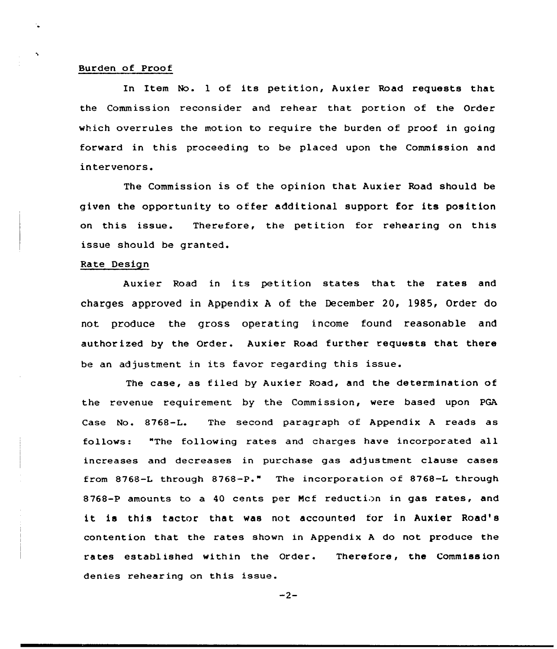#### Burden of Proof

In Item No. l of its petition, Auxier Road requests that the Commission reconsider and rehear that portion of the Order which overrules the motion to require the burden of proof in going forward in this proceeding to be placed upon the Commission and intervenors.

The Commission is of the opinion that Auxier Road should be given the opportunity to offer additional support for its position on this issue. Therefore, the petition for rehearing on this issue should be granted.

#### Rate Design

Auxier Road in its petition states that the rates and charges approved in Appendix <sup>A</sup> of the December 20, 1985, Order do not produce the gross operating income found reasonable and authorized by the Order. Auxier Road further requests that there be an adjustment 'n its favor regarding this issue.

The case, as filed by Auxier Road, and the determination of the revenue requirement by the Commission, were based upon PGA Case No. 8768-L. The second paragraph of Appendix <sup>A</sup> reads as follows: "The following rates and charges have incorporated all increases and decreases in purchase gas adjustment clause cases from 8768-L through 8768-P." The incorporation of 8768-L through 8768-P amounts to a 40 cents per Mcf reduction in gas rates, and it is this tactor that was not accounted for in Auxier Road's contention that the rates shown in Appendix <sup>A</sup> do not produce the rates established within the Order. Therefore, the Commission denies rehear ing on this issue.

 $-2-$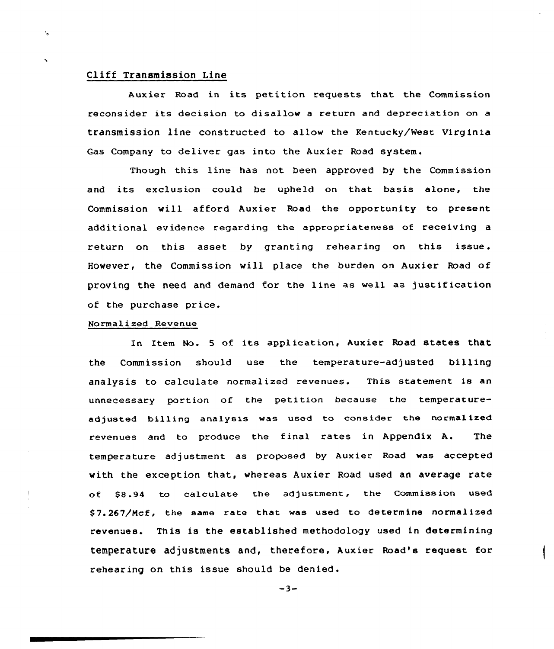# Cliff Transmission Line

Ň,

Auxier Road in its petition requests that the Commission reconsider its decision to disallow a return and depreciation on a transmission line constructed to allow the Kentucky/West Virginia Gas Company to deliver gas into the Auxier Road system.

Though this line has not been approved by the Commission and its exclusion could be upheld on that basis alone, the Commission will afford Auxier Road the opportunity to present additional evidence regarding the appropriateness of receiving a return on this asset by granting rehearing on this issue. However, the Commission will place the burden on Auxier Road of proving the need and demand for the line as we11 as justification of the purchase price.

## Normalized Revenue

In Item No. <sup>5</sup> of its application, Auxier Road states that the Commission should use the temperature-adjusted billing analysis to calculate normalized revenues. This statement is an unnecessary portion of the petition because the temperatureadjusted billing analysis was used to consider the normalized revenues and to produce the final rates in Appendix A. The temperature adjustment as proposed by Auxier Road was accepted with the exception that, whereas Auxier Road used an average rate of \$8.94 to calculate the adjustment, the Commission used \$7.267/Mcf, the same rate that was used to determine normalized revenues. This is the established methodology used in determining temperature adjustments and, therefore, Auxier Road's request for rehearing on this issue should be denied.

 $-3-$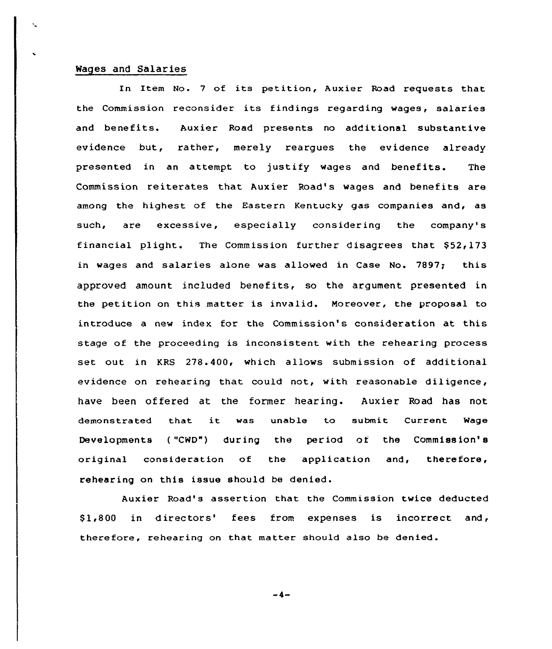#### Wages and Salaries

In Item No. <sup>7</sup> of its petition, Auxier Road requests that the Commission reconsider its findings regarding wages, salaries and benefits. Auxier Road presents no additional substantive evidence but, rather, merely reargues the evidence already presented in an attempt to justify wages and benefits. The Commission reiterates that Auxier Road's wages and benefits are among the highest of the Eastern Kentucky gas companies and, as such, are excessive, especially considering the company's financial plight. The Commission further disagrees that  $$52,173$ in wages and salaries alone was allowed in Case No. 7897; this approved amount included benefits, so the argument presented in the petition on this matter is invalid. Moreover, the proposal to introduce a new index for the Commission's consideration at this stage of the proceeding is inconsistent with the rehearing process set out in KRS 278.400, which allows submission of additional evidence on rehearing that could not, with reasonable diligence, have been offered at the former hearing. Auxier Road has not demonstrated that it was unable to submit Current Wage Developments ( "CWD") during the per iod of the Commission' original consideration of the application and, therefore, rehearing on this issue should be denied.

Auxier Road's assertion that the Commission twice deducted \$1,800 in directors' fees from expenses is incorrect and, therefore, rehearing on that matter should also be denied.

 $-4-$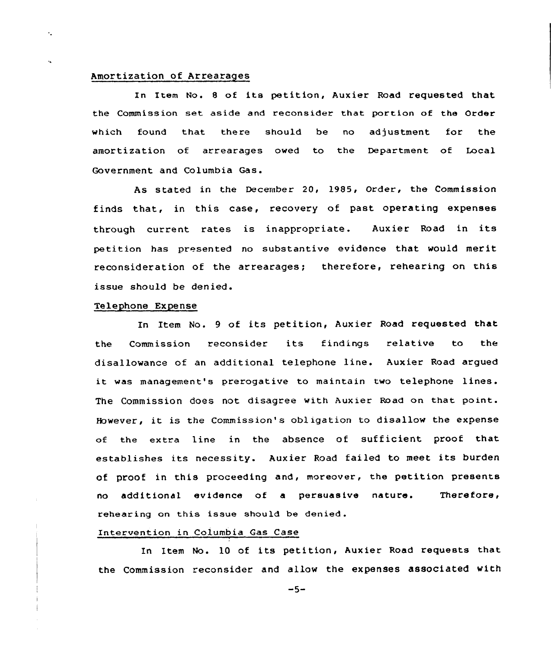## Amortization of Arrearages

 $\epsilon_{\rm m}$ 

In Item No. <sup>8</sup> of its petition, Auxier Road requested that the Commission set aside and reconsider that portion of the Order which found that there should be no adjustment for the amortization of arrearages owed to the Department of Local Government and Columbia Gas.

As stated in the December 20, 1985, Qrder, the Commission finds that, in this case, recovery of past operating expenses through current rates is inappropriate. Auxier Road in its petition has presented no substantive evidence that would merit reconsideration of the arrearages; therefore, rehearing on this issue should be denied.

## Telephone Expense

In Item No. <sup>9</sup> of its petition, Auxier Road requested that the Commission reconsider its findings relative to the disallowance of an additional telephone line. Auxier Road argued it was management's prerogative to maintain two telephone lines. The Commission does not disagree with Auxier Road on that point. However, it is the Commission's obligation to disallow the expense of the extra line in the absence of sufficient proof that establishes its necessity. Auxier Road failed to meet its burden of proof in this proceeding and, moreover, the petition presents no additional evidence of a persuasive nature. Therefore, rehearing on this issue should be denied .

### Intervention in Columbia Gas Case

In Item No. 10 of its petition, Auxier Road requests that the Commission reconsider and allow the expenses associated with

 $-5-$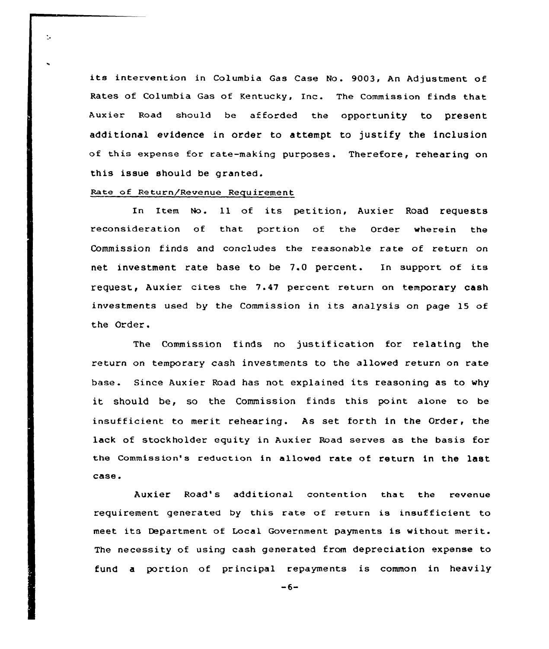its intervention in Columbia Gas Case No. 9003, An Adjustment of Rates of Columbia Gas of Kentucky, Inc. The Commission finds that Auxier Road should be afforded the opportunity to present additional evidence in order to attempt to justify the inclusion of this expense for rate-making purposes. Therefore, rehearing on this issue should be granted.

### Rate of Return/Revenue Requirement

 $\ddot{\mathbb{L}}$ 

In Item No. 11 of its petition, Auxier Road requests reconsideration of that portion of the Order wherein the Commission finds and concludes the reasonable rate of return on net investment rate base to be 7.0 percent. In support of its request, Auxier cites the 7.47 percent return on temporary cash investments used by the Commission in its analysis on page 15 of the Order.

The Commission finds no justification for relating the return on temporary cash investments to the allowed return on rate base. Since Auxier Road has not explained its reasoning as to why it should be, so the Commission finds this point alone to be insufficient to merit rehearing. As set forth in the Order, the lack of stockholder equity in Auxier Road serves as the basis for the Commission's reduction in al1owed rate of return in the last case.

Auxier Road's additional contention that the revenue requirement generated by this rate of return is insufficient to meet its Department of Local Government payments is without merit. The necessity of using cash generated from depreciation expense to fund a portion of principal repayments is common in heavily

 $-6-$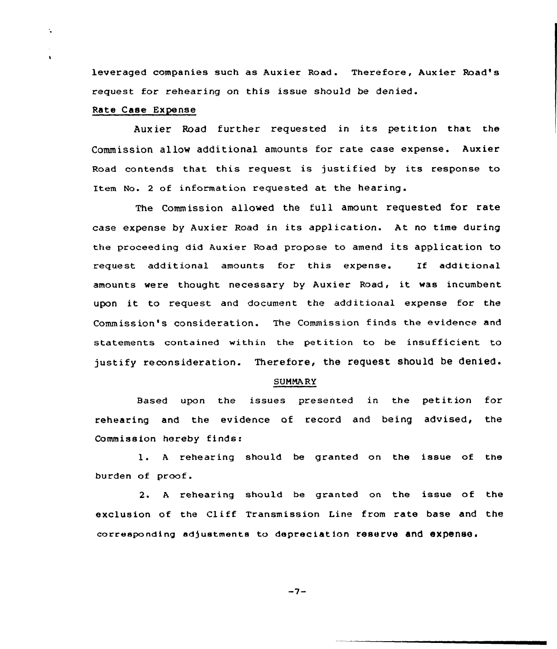leveraged companies such as Auxier Road. Therefore, Auxier Road's request for rehearing on this issue should be denied.

## Rate Case Expense

 $\ddot{\phantom{a}}$ 

 $\mathbf{r}$ 

Aux ier Road further requested in its petition that the Commission allow additional amounts for rate case expense. Auxier Road contends that this request is justified by its response to Item No. <sup>2</sup> of information requested at the hearing.

The Commission allowed the full amount requested for rate case expense by Auxier Road in its application. At no time during the proceeding did Auxier Road propose to amend its application to request additional amounts for this expense. If additional amounts were thought necessary by Auxier Road, it was incumbent upon it to request and document the additional expense for the Commission's consideration. The Commission finds the evidence and statements contained within the petition to be insufficient to justify reconsideration. Therefore, the request should be denied.

#### SUMMA RY

Based upan the issues presented in the petition for rehearing and the evidence of record and being advised, the Commission hereby finds:

l. <sup>A</sup> rehearing should be granted on the issue of the burden of proof.

2. A rehearing should be granted on the issue of the exclusion of the Cliff Transmission Line from rate base and the corresponding adjustments to depreciation reserve and expense.

$$
-7 -
$$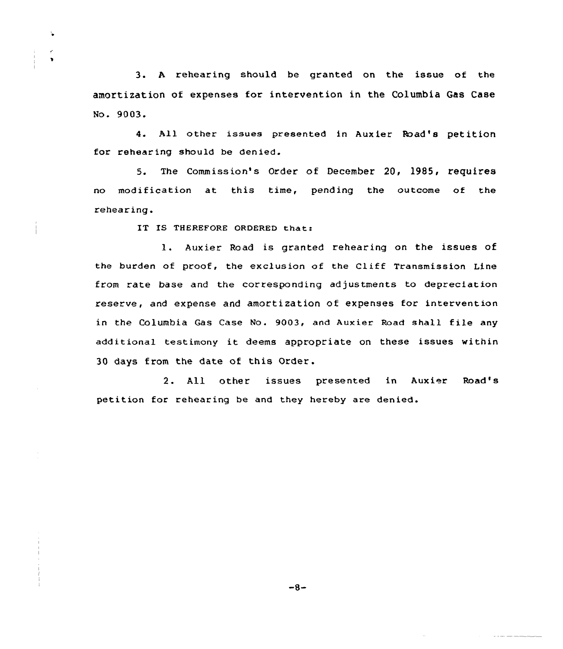3. <sup>A</sup> rehearing should be granted on the issue of the amortization of expenses for intervention in the Columbia Gas Case No. 9003.

4. All other issues presented in Auxier Road's petition for rehear ing should be denied.

5. The Commission's Order of December 20, 1985, requires no modification at this time, pending the outcome of the rehearing.

IT IS THEREFORE ORDERED that:

Ŷ.

 $\bullet$ 

l. Auxier Road is granted rehearing on the issues of the burden of proof, the exclusion of the Cliff Transmission Line from rate base and the corresponding adjustments to depreciation reserve, and expense and amortization of expenses for intervention in the Columbia Gas Case No. 9003, and Aux ier Road shall f ile any additional testimony it deems appropriate on these issues within 30 days from the date of this Order.

2. All other issues presented in Auxier Road's petition for rehearing be and they hereby are denied.

 $-8-$